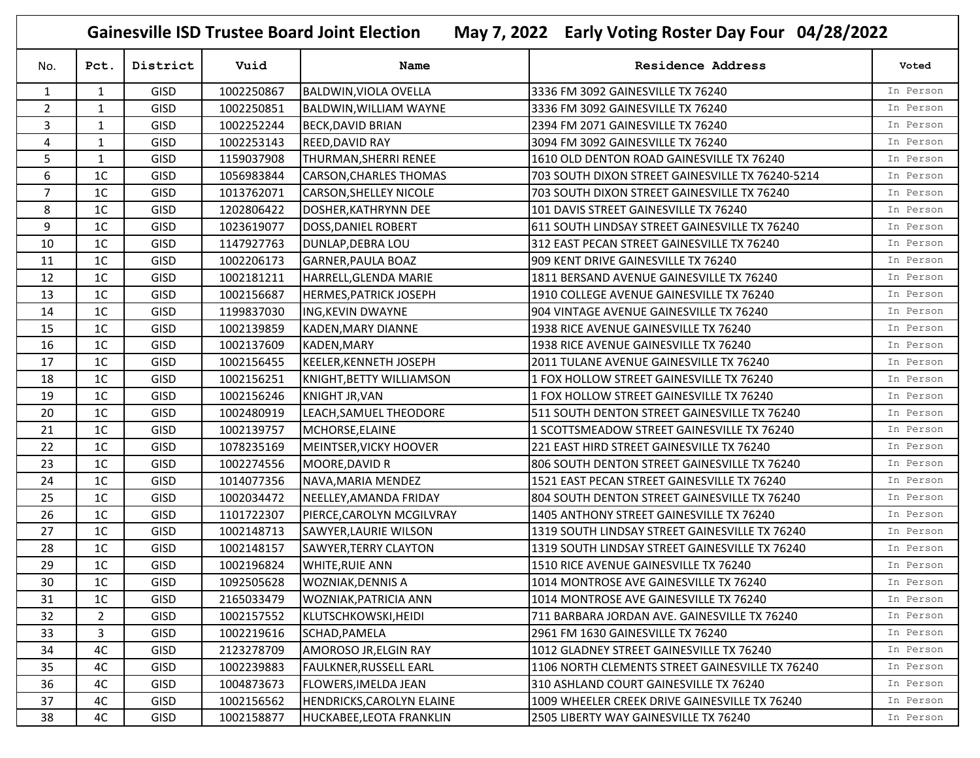**Gainesville ISD Trustee Board Joint Election May 7, 2022 Early Voting Roster Day Four 04/28/2022**

| No.            | Pct.           | District    | Vuid       | Name                             | <b>Residence Address</b>                         | Voted     |
|----------------|----------------|-------------|------------|----------------------------------|--------------------------------------------------|-----------|
| $\mathbf{1}$   | $\mathbf{1}$   | GISD        | 1002250867 | <b>BALDWIN, VIOLA OVELLA</b>     | 3336 FM 3092 GAINESVILLE TX 76240                | In Person |
| $\overline{2}$ | $\mathbf{1}$   | <b>GISD</b> | 1002250851 | <b>BALDWIN, WILLIAM WAYNE</b>    | 3336 FM 3092 GAINESVILLE TX 76240                | In Person |
| 3              | 1              | <b>GISD</b> | 1002252244 | <b>BECK, DAVID BRIAN</b>         | 2394 FM 2071 GAINESVILLE TX 76240                | In Person |
| 4              | $\mathbf{1}$   | <b>GISD</b> | 1002253143 | <b>REED, DAVID RAY</b>           | 3094 FM 3092 GAINESVILLE TX 76240                | In Person |
| 5              | 1              | <b>GISD</b> | 1159037908 | THURMAN, SHERRI RENEE            | 1610 OLD DENTON ROAD GAINESVILLE TX 76240        | In Person |
| 6              | 1 <sup>C</sup> | <b>GISD</b> | 1056983844 | CARSON, CHARLES THOMAS           | 703 SOUTH DIXON STREET GAINESVILLE TX 76240-5214 | In Person |
| $\overline{7}$ | 1C             | GISD        | 1013762071 | <b>CARSON, SHELLEY NICOLE</b>    | 703 SOUTH DIXON STREET GAINESVILLE TX 76240      | In Person |
| 8              | 1 <sup>C</sup> | <b>GISD</b> | 1202806422 | DOSHER, KATHRYNN DEE             | 101 DAVIS STREET GAINESVILLE TX 76240            | In Person |
| 9              | 1C             | <b>GISD</b> | 1023619077 | DOSS, DANIEL ROBERT              | 611 SOUTH LINDSAY STREET GAINESVILLE TX 76240    | In Person |
| 10             | 1 <sup>C</sup> | <b>GISD</b> | 1147927763 | DUNLAP, DEBRA LOU                | 312 EAST PECAN STREET GAINESVILLE TX 76240       | In Person |
| 11             | 1C             | <b>GISD</b> | 1002206173 | <b>GARNER, PAULA BOAZ</b>        | 909 KENT DRIVE GAINESVILLE TX 76240              | In Person |
| 12             | 1 <sup>C</sup> | <b>GISD</b> | 1002181211 | HARRELL, GLENDA MARIE            | 1811 BERSAND AVENUE GAINESVILLE TX 76240         | In Person |
| 13             | 1 <sup>C</sup> | <b>GISD</b> | 1002156687 | <b>HERMES, PATRICK JOSEPH</b>    | 1910 COLLEGE AVENUE GAINESVILLE TX 76240         | In Person |
| 14             | 1 <sup>C</sup> | <b>GISD</b> | 1199837030 | ING, KEVIN DWAYNE                | 904 VINTAGE AVENUE GAINESVILLE TX 76240          | In Person |
| 15             | 1 <sup>C</sup> | <b>GISD</b> | 1002139859 | KADEN, MARY DIANNE               | 1938 RICE AVENUE GAINESVILLE TX 76240            | In Person |
| 16             | 1 <sup>C</sup> | <b>GISD</b> | 1002137609 | KADEN, MARY                      | 1938 RICE AVENUE GAINESVILLE TX 76240            | In Person |
| 17             | 1 <sup>C</sup> | <b>GISD</b> | 1002156455 | KEELER, KENNETH JOSEPH           | 2011 TULANE AVENUE GAINESVILLE TX 76240          | In Person |
| 18             | 1C             | <b>GISD</b> | 1002156251 | KNIGHT, BETTY WILLIAMSON         | 1 FOX HOLLOW STREET GAINESVILLE TX 76240         | In Person |
| 19             | 1C             | <b>GISD</b> | 1002156246 | <b>KNIGHT JR, VAN</b>            | 1 FOX HOLLOW STREET GAINESVILLE TX 76240         | In Person |
| 20             | 1 <sup>C</sup> | <b>GISD</b> | 1002480919 | LEACH, SAMUEL THEODORE           | 511 SOUTH DENTON STREET GAINESVILLE TX 76240     | In Person |
| 21             | 1C             | <b>GISD</b> | 1002139757 | MCHORSE, ELAINE                  | 1 SCOTTSMEADOW STREET GAINESVILLE TX 76240       | In Person |
| 22             | 1 <sup>C</sup> | <b>GISD</b> | 1078235169 | MEINTSER, VICKY HOOVER           | 221 EAST HIRD STREET GAINESVILLE TX 76240        | In Person |
| 23             | 1 <sup>C</sup> | GISD        | 1002274556 | MOORE, DAVID R                   | 806 SOUTH DENTON STREET GAINESVILLE TX 76240     | In Person |
| 24             | 1 <sup>C</sup> | <b>GISD</b> | 1014077356 | NAVA, MARIA MENDEZ               | 1521 EAST PECAN STREET GAINESVILLE TX 76240      | In Person |
| 25             | 1C             | GISD        | 1002034472 | NEELLEY, AMANDA FRIDAY           | 804 SOUTH DENTON STREET GAINESVILLE TX 76240     | In Person |
| 26             | 1C             | GISD        | 1101722307 | PIERCE, CAROLYN MCGILVRAY        | 1405 ANTHONY STREET GAINESVILLE TX 76240         | In Person |
| 27             | 1C             | <b>GISD</b> | 1002148713 | SAWYER, LAURIE WILSON            | 1319 SOUTH LINDSAY STREET GAINESVILLE TX 76240   | In Person |
| 28             | 1C             | <b>GISD</b> | 1002148157 | <b>SAWYER, TERRY CLAYTON</b>     | 1319 SOUTH LINDSAY STREET GAINESVILLE TX 76240   | In Person |
| 29             | 1 <sup>C</sup> | <b>GISD</b> | 1002196824 | <b>WHITE, RUIE ANN</b>           | 1510 RICE AVENUE GAINESVILLE TX 76240            | In Person |
| 30             | 1 <sup>C</sup> | <b>GISD</b> | 1092505628 | <b>WOZNIAK, DENNIS A</b>         | 1014 MONTROSE AVE GAINESVILLE TX 76240           | In Person |
| 31             | $1C$           | <b>GISD</b> | 2165033479 | <b>WOZNIAK, PATRICIA ANN</b>     | 1014 MONTROSE AVE GAINESVILLE TX 76240           | In Person |
| 32             | 2              | <b>GISD</b> | 1002157552 | KLUTSCHKOWSKI, HEIDI             | 711 BARBARA JORDAN AVE. GAINESVILLE TX 76240     | In Person |
| 33             | 3              | <b>GISD</b> | 1002219616 | SCHAD, PAMELA                    | 2961 FM 1630 GAINESVILLE TX 76240                | In Person |
| 34             | 4C             | <b>GISD</b> | 2123278709 | AMOROSO JR, ELGIN RAY            | 1012 GLADNEY STREET GAINESVILLE TX 76240         | In Person |
| 35             | 4C             | <b>GISD</b> | 1002239883 | <b>FAULKNER, RUSSELL EARL</b>    | 1106 NORTH CLEMENTS STREET GAINESVILLE TX 76240  | In Person |
| 36             | 4C             | <b>GISD</b> | 1004873673 | <b>FLOWERS, IMELDA JEAN</b>      | 310 ASHLAND COURT GAINESVILLE TX 76240           | In Person |
| 37             | 4C             | <b>GISD</b> | 1002156562 | <b>HENDRICKS, CAROLYN ELAINE</b> | 1009 WHEELER CREEK DRIVE GAINESVILLE TX 76240    | In Person |
| 38             | 4C             | <b>GISD</b> | 1002158877 | HUCKABEE, LEOTA FRANKLIN         | 2505 LIBERTY WAY GAINESVILLE TX 76240            | In Person |